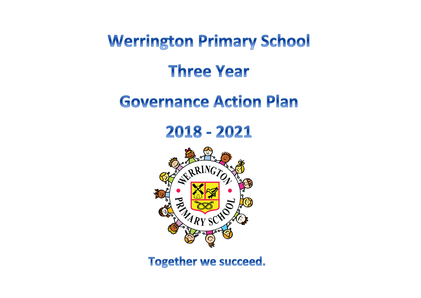**Werrington Primary School** 

# **Three Year**

## **Governance Action Plan**

2018 - 2021



**Together we succeed.**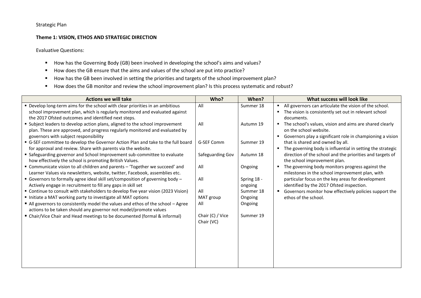## Strategic Plan

#### **Theme 1: VISION, ETHOS AND STRATEGIC DIRECTION**

- How has the Governing Body (GB) been involved in developing the school's aims and values?
- How does the GB ensure that the aims and values of the school are put into practice?
- How has the GB been involved in setting the priorities and targets of the school improvement plan?
- How does the GB monitor and review the school improvement plan? Is this process systematic and robust?

| <b>Actions we will take</b>                                                                                                                                                                                         | Who?                           | When?                  | What success will look like                                                                                                                     |
|---------------------------------------------------------------------------------------------------------------------------------------------------------------------------------------------------------------------|--------------------------------|------------------------|-------------------------------------------------------------------------------------------------------------------------------------------------|
| " Develop long-term aims for the school with clear priorities in an ambitious<br>school improvement plan, which is regularly monitored and evaluated against<br>the 2017 Ofsted outcomes and identified next steps. | All                            | Summer 18              | All governors can articulate the vision of the school.<br>$\blacksquare$<br>The vision is consistently set out in relevant school<br>documents. |
| " Subject leaders to develop action plans, aligned to the school improvement<br>plan. These are approved, and progress regularly monitored and evaluated by<br>governors with subject responsibility                | All                            | Autumn 19              | The school's values, vision and aims are shared clearly<br>on the school website.<br>Governors play a significant role in championing a vision  |
| G-SEF committee to develop the Governor Action Plan and take to the full board<br>for approval and review. Share with parents via the website.                                                                      | G-SEF Comm                     | Summer 19              | that is shared and owned by all.<br>The governing body is influential in setting the strategic                                                  |
| " Safeguarding governor and School Improvement sub-committee to evaluate<br>how effectively the school is promoting British Values.                                                                                 | Safeguarding Gov               | Autumn 18              | direction of the school and the priorities and targets of<br>the school improvement plan.                                                       |
| ■ Communicate vision to all children and parents - 'Together we succeed' and<br>Learner Values via newsletters, website, twitter, Facebook, assemblies etc.                                                         | All                            | Ongoing                | The governing body monitors progress against the<br>milestones in the school improvement plan, with                                             |
| ■ Governors to formally agree ideal skill set/composition of governing body -<br>Actively engage in recruitment to fill any gaps in skill set                                                                       | All                            | Spring 18 -<br>ongoing | particular focus on the key areas for development<br>identified by the 2017 Ofsted inspection.                                                  |
| " Continue to consult with stakeholders to develop five year vision (2023 Vision)<br>Initiate a MAT working party to investigate all MAT options                                                                    | All<br>MAT group               | Summer 18<br>Ongoing   | Governors monitor how effectively policies support the<br>ethos of the school.                                                                  |
| All governors to consistently model the values and ethos of the school - Agree<br>actions to be taken should any governor not model/promote values                                                                  | All                            | Ongoing                |                                                                                                                                                 |
| ■ Chair/Vice Chair and Head meetings to be documented (formal & informal)                                                                                                                                           | Chair (C) / Vice<br>Chair (VC) | Summer 19              |                                                                                                                                                 |
|                                                                                                                                                                                                                     |                                |                        |                                                                                                                                                 |
|                                                                                                                                                                                                                     |                                |                        |                                                                                                                                                 |
|                                                                                                                                                                                                                     |                                |                        |                                                                                                                                                 |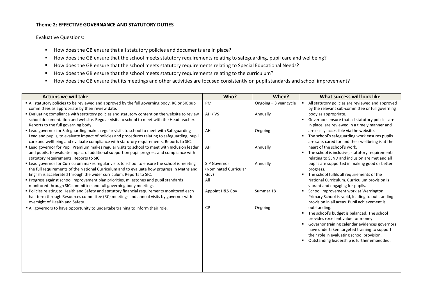#### **Theme 2: EFFECTIVE GOVERNANCE AND STATUTORY DUTIES**

- How does the GB ensure that all statutory policies and documents are in place?
- How does the GB ensure that the school meets statutory requirements relating to safeguarding, pupil care and wellbeing?
- How does the GB ensure that the school meets statutory requirements relating to Special Educational Needs?
- How does the GB ensure that the school meets statutory requirements relating to the curriculum?
- How does the GB ensure that its meetings and other activities are focused consistently on pupil standards and school improvement?

| <b>Actions we will take</b>                                                                                                                                                                                                                                                                                    | Who?                                          | When?                  | What success will look like                                                                                                                                                           |
|----------------------------------------------------------------------------------------------------------------------------------------------------------------------------------------------------------------------------------------------------------------------------------------------------------------|-----------------------------------------------|------------------------|---------------------------------------------------------------------------------------------------------------------------------------------------------------------------------------|
| " All statutory policies to be reviewed and approved by the full governing body, RC or SIC sub<br>committees as appropriate by their review date.                                                                                                                                                              | PM                                            | Ongoing - 3 year cycle | All statutory policies are reviewed and approved<br>by the relevant sub-committee or full governing                                                                                   |
| " Evaluating compliance with statutory policies and statutory content on the website to review<br>school documentation and website. Regular visits to school to meet with the Head teacher.                                                                                                                    | AH / VS                                       | Annually               | body as appropriate.<br>• Governors ensure that all statutory policies are<br>in place, are reviewed in a timely manner and                                                           |
| Reports to the full governing body.<br>" Lead governor for Safeguarding makes regular visits to school to meet with Safeguarding<br>Lead and pupils, to evaluate impact of policies and procedures relating to safeguarding, pupil                                                                             | AH                                            | Ongoing                | are easily accessible via the website.<br>The school's safeguarding work ensures pupils                                                                                               |
| care and wellbeing and evaluate compliance with statutory requirements. Reports to SIC.<br>" Lead governor for Pupil Premium makes regular visits to school to meet with Inclusion leader<br>and pupils, to evaluate impact of additional support on pupil progress and compliance with                        | AH                                            | Annually               | are safe, cared for and their wellbeing is at the<br>heart of the school's work.<br>The school is inclusive, statutory requirements<br>п.                                             |
| statutory requirements. Reports to SIC.<br>" Lead governor for Curriculum makes regular visits to school to ensure the school is meeting<br>the full requirements of the National Curriculum and to evaluate how progress in Maths and<br>English is accelerated through the wider curriculum. Reports to SIC. | SIP Governor<br>(Nominated Curricular<br>Gov) | Annually               | relating to SEND and inclusion are met and all<br>pupils are supported in making good or better<br>progress.<br>• The school fulfils all requirements of the                          |
| " Progress against school improvement plan priorities, milestones and pupil standards<br>monitored through SIC committee and full governing body meetings                                                                                                                                                      | All                                           |                        | National Curriculum. Curriculum provision is<br>vibrant and engaging for pupils.                                                                                                      |
| " Policies relating to Health and Safety and statutory financial requirements monitored each<br>half term through Resources committee (RC) meetings and annual visits by governor with<br>oversight of Health and Safety.                                                                                      | Appoint H&S Gov                               | Summer 18              | School improvement work at Werrington<br>Primary School is rapid, leading to outstanding<br>provision in all areas. Pupil achievement is                                              |
| All governors to have opportunity to undertake training to inform their role.                                                                                                                                                                                                                                  | <b>CP</b>                                     | Ongoing                | outstanding.<br>• The school's budget is balanced. The school                                                                                                                         |
|                                                                                                                                                                                                                                                                                                                |                                               |                        | provides excellent value for money.<br>• Governor training calendar evidences governors<br>have undertaken targeted training to support<br>their role in evaluating school provision. |
|                                                                                                                                                                                                                                                                                                                |                                               |                        | Outstanding leadership is further embedded.                                                                                                                                           |
|                                                                                                                                                                                                                                                                                                                |                                               |                        |                                                                                                                                                                                       |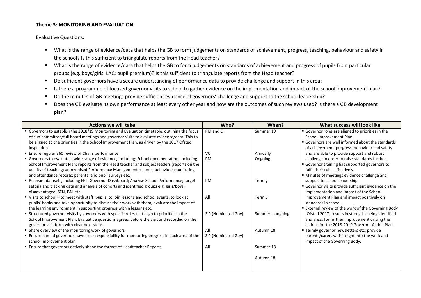#### **Theme 3: MONITORING AND EVALUATION**

- What is the range of evidence/data that helps the GB to form judgements on standards of achievement, progress, teaching, behaviour and safety in the school? Is this sufficient to triangulate reports from the Head teacher?
- What is the range of evidence/data that helps the GB to form judgements on standards of achievement and progress of pupils from particular groups (e.g. boys/girls; LAC; pupil premium)? Is this sufficient to triangulate reports from the Head teacher?
- Do sufficient governors have a secure understanding of performance data to provide challenge and support in this area?
- Is there a programme of focused governor visits to school to gather evidence on the implementation and impact of the school improvement plan?
- Do the minutes of GB meetings provide sufficient evidence of governors' challenge and support to the school leadership?
- Does the GB evaluate its own performance at least every other year and how are the outcomes of such reviews used? Is there a GB development plan?

| <b>Actions we will take</b>                                                                                                                                                                                                                                                                            | Who?                       | When?               | What success will look like                                                                                                                                                        |
|--------------------------------------------------------------------------------------------------------------------------------------------------------------------------------------------------------------------------------------------------------------------------------------------------------|----------------------------|---------------------|------------------------------------------------------------------------------------------------------------------------------------------------------------------------------------|
| Governors to establish the 2018/19 Monitoring and Evaluation timetable, outlining the focus<br>of sub-committee/full board meetings and governor visits to evaluate evidence/data. This to<br>be aligned to the priorities in the School Improvement Plan, as driven by the 2017 Ofsted<br>inspection. | PM and C                   | Summer 19           | Governor roles are aligned to priorities in the<br>School Improvement Plan.<br>• Governors are well informed about the standards<br>of achievement, progress, behaviour and safety |
| ■ Ensure regular 360 review of Chairs performance<br>" Governors to evaluate a wide range of evidence, including: School documentation, including<br>School Improvement Plan; reports from the Head teacher and subject leaders (reports on the                                                        | VC<br>PM                   | Annually<br>Ongoing | and are able to provide support and robust<br>challenge in order to raise standards further.<br>Governor training has supported governors to                                       |
| quality of teaching; anonymised Performance Management records; behaviour monitoring<br>and attendance reports; parental and pupil surveys etc.)<br>Relevant datasets, including FFT; Governor Dashboard; Analyse School Performance; target                                                           | PM                         | Termly              | fulfil their roles effectively.<br>" Minutes of meetings evidence challenge and<br>support to school leadership.                                                                   |
| setting and tracking data and analysis of cohorts and identified groups e.g. girls/boys,<br>disadvantaged, SEN, EAL etc.                                                                                                                                                                               |                            |                     | Governor visits provide sufficient evidence on the<br>implementation and impact of the School                                                                                      |
| " Visits to school - to meet with staff, pupils; to join lessons and school events; to look at<br>pupils' books and take opportunity to discuss their work with them; evaluate the impact of<br>the learning environment in supporting progress within lessons etc.                                    | All                        | Termly              | Improvement Plan and impact positively on<br>standards in school.<br>■ External review of the work of the Governing Body                                                           |
| • Structured governor visits by governors with specific roles that align to priorities in the<br>School Improvement Plan. Evaluative questions agreed before the visit and recorded on the<br>governor visit form with clear next steps.                                                               | SIP (Nominated Gov)        | Summer – ongoing    | (Ofsted 2017) results in strengths being identified<br>and areas for further improvement driving the<br>actions for the 2018-2019 Governor Action Plan.                            |
| • Share overview of the monitoring work of governors<br><b>Ensure named governors have clear responsibility for monitoring progress in each area of the</b><br>school improvement plan                                                                                                                 | All<br>SIP (Nominated Gov) | Autumn 18           | " Termly governor newsletters etc. provide<br>parents/carers with insight into the work and<br>impact of the Governing Body.                                                       |
| <b>Ensure that governors actively shape the format of Headteacher Reports</b>                                                                                                                                                                                                                          | All                        | Summer 18           |                                                                                                                                                                                    |
|                                                                                                                                                                                                                                                                                                        |                            | Autumn 18           |                                                                                                                                                                                    |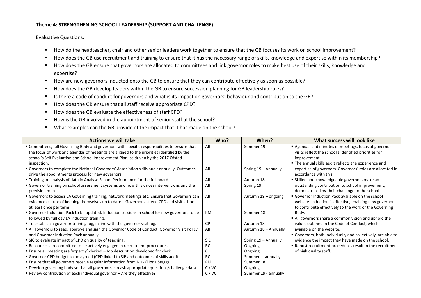#### **Theme 4: STRENGTHENING SCHOOL LEADERSHIP (SUPPORT AND CHALLENGE)**

- How do the headteacher, chair and other senior leaders work together to ensure that the GB focuses its work on school improvement?
- How does the GB use recruitment and training to ensure that it has the necessary range of skills, knowledge and expertise within its membership?
- How does the GB ensure that governors are allocated to committees and link governor roles to make best use of their skills, knowledge and expertise?
- How are new governors inducted onto the GB to ensure that they can contribute effectively as soon as possible?
- How does the GB develop leaders within the GB to ensure succession planning for GB leadership roles?
- Is there a code of conduct for governors and what is its impact on governors' behaviour and contribution to the GB?
- How does the GB ensure that all staff receive appropriate CPD?
- How does the GB evaluate the effectiveness of staff CPD?
- How is the GB involved in the appointment of senior staff at the school?
- What examples can the GB provide of the impact that it has made on the school?

| <b>Actions we will take</b>                                                                                  | Who?       | When?                | What success will look like                                                                       |
|--------------------------------------------------------------------------------------------------------------|------------|----------------------|---------------------------------------------------------------------------------------------------|
| " Committees, full Governing Body and governors with specific responsibilities to ensure that                | All        | Summer 19            | Agendas and minutes of meetings, focus of governor                                                |
| the focus of work and agendas of meetings are aligned to the priorities identified by the                    |            |                      | visits reflect the school's identified priorities for                                             |
| school's Self Evaluation and School Improvement Plan, as driven by the 2017 Ofsted                           |            |                      | improvement.                                                                                      |
| inspection.                                                                                                  |            |                      | ■ The annual skills audit reflects the experience and                                             |
| Governors to complete the National Governors' Association skills audit annually. Outcomes                    | All        | Spring 19 - Annually | expertise of governors. Governors' roles are allocated in                                         |
| drive the appointments process for new governors.                                                            |            |                      | accordance with this.                                                                             |
| " Training on analysis of data in Analyse School Performance for the full board.                             | All        | Autumn 18            | • Skilled and knowledgeable governors make an                                                     |
| " Governor training on school assessment systems and how this drives interventions and the<br>provision map. | All        | Spring 19            | outstanding contribution to school improvement,<br>demonstrated by their challenge to the school. |
| " Governors to access LA Governing training, network meetings etc. Ensure that Governors can                 | All        | Autumn 19 - ongoing  | • Governor Induction Pack available on the school                                                 |
| evidence culture of keeping themselves up to date - Governors attend CPD and visit school                    |            |                      | website. Induction is effective, enabling new governors                                           |
| at least once per term                                                                                       |            |                      | to contribute effectively to the work of the Governing                                            |
| Governor Induction Pack to be updated. Induction sessions in school for new governors to be                  | PM         | Summer 18            | Body.                                                                                             |
| followed by full day LA Induction training.                                                                  |            |                      | All governors share a common vision and uphold the                                                |
| " To establish a governor training log, in line with the governor visit log.                                 | СP         | Autumn 18            | values outlined in the Code of Conduct, which is                                                  |
| " All governors to read, approve and sign the Governor Code of Conduct, Governor Visit Policy                | All        | Autumn 18 - Annually | available on the website.                                                                         |
| and Governor Induction Pack annually.                                                                        |            |                      | Governors, both individually and collectively, are able to                                        |
| • SIC to evaluate impact of CPD on quality of teaching.                                                      | <b>SIC</b> | Spring 19 - Annually | evidence the impact they have made on the school.                                                 |
| Resources sub-committee to be actively engaged in recruitment procedures.                                    | RC         | Ongoing              | Robust recruitment procedures result in the recruitment                                           |
| ■ Ensure all meeting are 'expertly' clerked - Job description developed for clerk                            |            | Ongoing              | of high quality staff.                                                                            |
| " Governor CPD budget to be agreed (CPD linked to SIP and outcomes of skills audit)                          | <b>RC</b>  | Summer $-$ annually  |                                                                                                   |
| " Ensure that all governors receive regular information from NLG (Fiona Stagg)                               | <b>PM</b>  | Summer 18            |                                                                                                   |
| • Develop governing body so that all governors can ask appropriate questions/challenge data                  | C/VC       | Ongoing              |                                                                                                   |
| ■ Review contribution of each individual governor – Are they effective?                                      | C/VC       | Summer 19 - annually |                                                                                                   |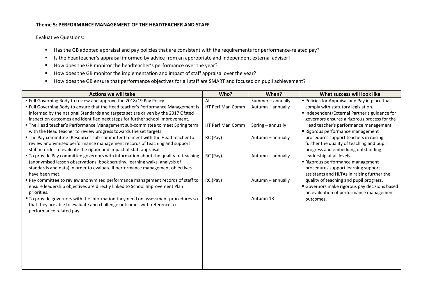#### **Theme 5: PERFORMANCE MANAGEMENT OF THE HEADTEACHER AND STAFF**

- Has the GB adopted appraisal and pay policies that are consistent with the requirements for performance-related pay?
- Is the headteacher's appraisal informed by advice from an appropriate and independent external adviser?
- How does the GB monitor the headteacher's performance over the year?
- How does the GB monitor the implementation and impact of staff appraisal over the year?
- How does the GB ensure that performance objectives for all staff are SMART and focused on pupil achievement?

| <b>Actions we will take</b>                                                                     | Who?                    | When?             | What success will look like                                            |
|-------------------------------------------------------------------------------------------------|-------------------------|-------------------|------------------------------------------------------------------------|
| " Full Governing Body to review and approve the 2018/19 Pay Policy.                             | All                     | Summer - annually | Policies for Appraisal and Pay in place that                           |
| " Full Governing Body to ensure that the Head teacher's Performance Management is               | <b>HT Perf Man Comm</b> | Autumn - annually | comply with statutory legislation.                                     |
| informed by the national Standards and targets set are driven by the 2017 Ofsted                |                         |                   | " Independent/External Partner's guidance for                          |
| inspection outcomes and identified next steps for further school improvement.                   |                         |                   | governors ensures a rigorous process for the                           |
| " The Head teacher's Performance Management sub-committee to meet Spring term                   | HT Perf Man Comm        | Spring - annually | Head teacher's performance management.                                 |
| with the Head teacher to review progress towards the set targets.                               |                         |                   | Rigorous performance management                                        |
| " The Pay committee (Resources sub-committee) to meet with the Head teacher to                  | RC (Pay)                | Autumn - annually | procedures support teachers in raising                                 |
| review anonymised performance management records of teaching and support                        |                         |                   | further the quality of teaching and pupil                              |
| staff in order to evaluate the rigour and impact of staff appraisal.                            |                         |                   | progress and embedding outstanding                                     |
| " To provide Pay committee governors with information about the quality of teaching             | RC (Pay)                | Autumn - annually | leadership at all levels.                                              |
| (anonymised lesson observations, book scrutiny, learning walks, analysis of                     |                         |                   | Rigorous performance management<br>procedures support learning support |
| standards and data) in order to evaluate if performance management objectives<br>have been met. |                         |                   | assistants and HLTAs in raising further the                            |
| " Pay committee to review anonymised performance management records of staff to                 | RC (Pay)                | Autumn - annually | quality of teaching and pupil progress.                                |
| ensure leadership objectives are directly linked to School Improvement Plan                     |                         |                   | Governors make rigorous pay decisions based                            |
| priorities.                                                                                     |                         |                   | on evaluation of performance management                                |
| " To provide governors with the information they need on assessment procedures so               | PM                      | Autumn 18         | outcomes.                                                              |
| that they are able to evaluate and challenge outcomes with reference to                         |                         |                   |                                                                        |
| performance related pay.                                                                        |                         |                   |                                                                        |
|                                                                                                 |                         |                   |                                                                        |
|                                                                                                 |                         |                   |                                                                        |
|                                                                                                 |                         |                   |                                                                        |
|                                                                                                 |                         |                   |                                                                        |
|                                                                                                 |                         |                   |                                                                        |
|                                                                                                 |                         |                   |                                                                        |
|                                                                                                 |                         |                   |                                                                        |
|                                                                                                 |                         |                   |                                                                        |
|                                                                                                 |                         |                   |                                                                        |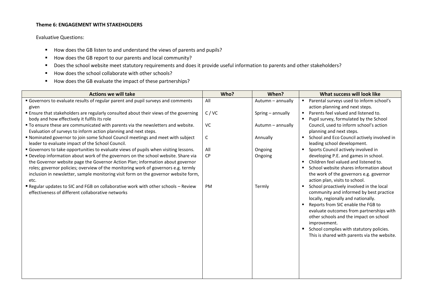### **Theme 6: ENGAGEMENT WITH STAKEHOLDERS**

- How does the GB listen to and understand the views of parents and pupils?
- How does the GB report to our parents and local community?
- Does the school website meet statutory requirements and does it provide useful information to parents and other stakeholders?
- How does the school collaborate with other schools?
- How does the GB evaluate the impact of these partnerships?

| <b>Actions we will take</b>                                                                | Who?         | When?             | What success will look like                                                        |
|--------------------------------------------------------------------------------------------|--------------|-------------------|------------------------------------------------------------------------------------|
| Governors to evaluate results of regular parent and pupil surveys and comments             | All          | Autumn - annually | Parental surveys used to inform school's<br>$\blacksquare$                         |
| given                                                                                      |              |                   | action planning and next steps.                                                    |
| <b>Ensure that stakeholders are regularly consulted about their views of the governing</b> | C/VC         | Spring - annually | Parents feel valued and listened to.                                               |
| body and how effectively it fulfils its role                                               |              |                   | Pupil survey, formulated by the School                                             |
| " To ensure these are communicated with parents via the newsletters and website.           | VC           | Autumn - annually | Council, used to inform school's action                                            |
| Evaluation of surveys to inform action planning and next steps.                            |              |                   | planning and next steps.                                                           |
| " Nominated governor to join some School Council meetings and meet with subject            | $\mathsf{C}$ | Annually          | School and Eco Council actively involved in                                        |
| leader to evaluate impact of the School Council.                                           |              |                   | leading school development.                                                        |
| " Governors to take opportunities to evaluate views of pupils when visiting lessons.       | All          | Ongoing           | Sports Council actively involved in                                                |
| " Develop information about work of the governors on the school website. Share via         | <b>CP</b>    | Ongoing           | developing P.E. and games in school.                                               |
| the Governor website page the Governor Action Plan; information about governor             |              |                   | Children feel valued and listened to.                                              |
| roles; governor policies; overview of the monitoring work of governors e.g. termly         |              |                   | School website shares information about                                            |
| inclusion in newsletter, sample monitoring visit form on the governor website form,        |              |                   | the work of the governors e.g. governor                                            |
| etc.                                                                                       |              |                   | action plan, visits to school.                                                     |
| Regular updates to SIC and FGB on collaborative work with other schools - Review           | PM           | Termly            | School proactively involved in the local                                           |
| effectiveness of different collaborative networks                                          |              |                   | community and informed by best practice                                            |
|                                                                                            |              |                   | locally, regionally and nationally.                                                |
|                                                                                            |              |                   | Reports from SIC enable the FGB to                                                 |
|                                                                                            |              |                   | evaluate outcomes from partnerships with<br>other schools and the impact on school |
|                                                                                            |              |                   |                                                                                    |
|                                                                                            |              |                   | improvement.                                                                       |
|                                                                                            |              |                   | School complies with statutory policies.                                           |
|                                                                                            |              |                   | This is shared with parents via the website.                                       |
|                                                                                            |              |                   |                                                                                    |
|                                                                                            |              |                   |                                                                                    |
|                                                                                            |              |                   |                                                                                    |
|                                                                                            |              |                   |                                                                                    |
|                                                                                            |              |                   |                                                                                    |
|                                                                                            |              |                   |                                                                                    |